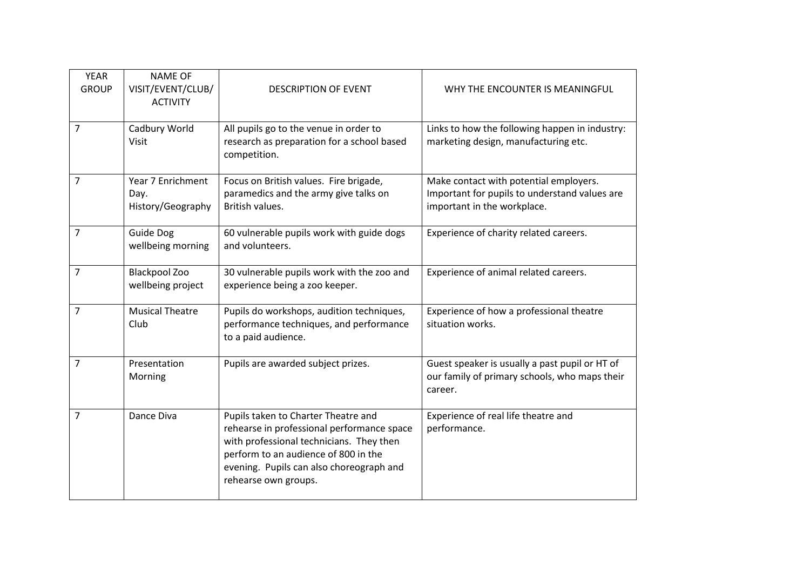| <b>YEAR</b><br><b>GROUP</b> | <b>NAME OF</b><br>VISIT/EVENT/CLUB/<br><b>ACTIVITY</b> | <b>DESCRIPTION OF EVENT</b>                                                                                                                                                                                                               | WHY THE ENCOUNTER IS MEANINGFUL                                                                                        |
|-----------------------------|--------------------------------------------------------|-------------------------------------------------------------------------------------------------------------------------------------------------------------------------------------------------------------------------------------------|------------------------------------------------------------------------------------------------------------------------|
| 7                           | Cadbury World<br>Visit                                 | All pupils go to the venue in order to<br>research as preparation for a school based<br>competition.                                                                                                                                      | Links to how the following happen in industry:<br>marketing design, manufacturing etc.                                 |
| 7                           | Year 7 Enrichment<br>Day.<br>History/Geography         | Focus on British values. Fire brigade,<br>paramedics and the army give talks on<br>British values.                                                                                                                                        | Make contact with potential employers.<br>Important for pupils to understand values are<br>important in the workplace. |
| $\overline{7}$              | <b>Guide Dog</b><br>wellbeing morning                  | 60 vulnerable pupils work with guide dogs<br>and volunteers.                                                                                                                                                                              | Experience of charity related careers.                                                                                 |
| 7                           | <b>Blackpool Zoo</b><br>wellbeing project              | 30 vulnerable pupils work with the zoo and<br>experience being a zoo keeper.                                                                                                                                                              | Experience of animal related careers.                                                                                  |
| $\overline{7}$              | <b>Musical Theatre</b><br>Club                         | Pupils do workshops, audition techniques,<br>performance techniques, and performance<br>to a paid audience.                                                                                                                               | Experience of how a professional theatre<br>situation works.                                                           |
| $\overline{7}$              | Presentation<br>Morning                                | Pupils are awarded subject prizes.                                                                                                                                                                                                        | Guest speaker is usually a past pupil or HT of<br>our family of primary schools, who maps their<br>career.             |
| $\overline{7}$              | Dance Diva                                             | Pupils taken to Charter Theatre and<br>rehearse in professional performance space<br>with professional technicians. They then<br>perform to an audience of 800 in the<br>evening. Pupils can also choreograph and<br>rehearse own groups. | Experience of real life theatre and<br>performance.                                                                    |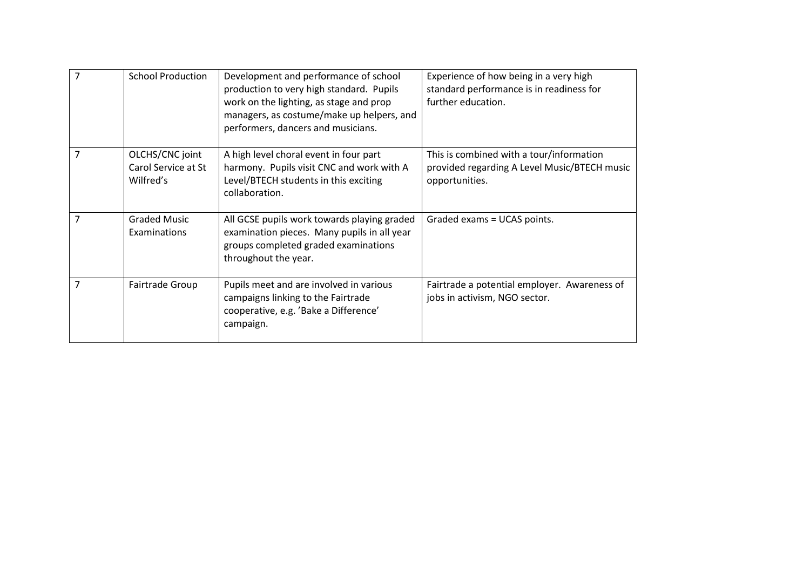| 7              | <b>School Production</b>                            | Development and performance of school<br>production to very high standard. Pupils<br>work on the lighting, as stage and prop<br>managers, as costume/make up helpers, and<br>performers, dancers and musicians. | Experience of how being in a very high<br>standard performance is in readiness for<br>further education.   |
|----------------|-----------------------------------------------------|-----------------------------------------------------------------------------------------------------------------------------------------------------------------------------------------------------------------|------------------------------------------------------------------------------------------------------------|
| 7              | OLCHS/CNC joint<br>Carol Service at St<br>Wilfred's | A high level choral event in four part<br>harmony. Pupils visit CNC and work with A<br>Level/BTECH students in this exciting<br>collaboration.                                                                  | This is combined with a tour/information<br>provided regarding A Level Music/BTECH music<br>opportunities. |
| $\overline{7}$ | <b>Graded Music</b><br>Examinations                 | All GCSE pupils work towards playing graded<br>examination pieces. Many pupils in all year<br>groups completed graded examinations<br>throughout the year.                                                      | Graded exams = UCAS points.                                                                                |
|                | Fairtrade Group                                     | Pupils meet and are involved in various<br>campaigns linking to the Fairtrade<br>cooperative, e.g. 'Bake a Difference'<br>campaign.                                                                             | Fairtrade a potential employer. Awareness of<br>jobs in activism, NGO sector.                              |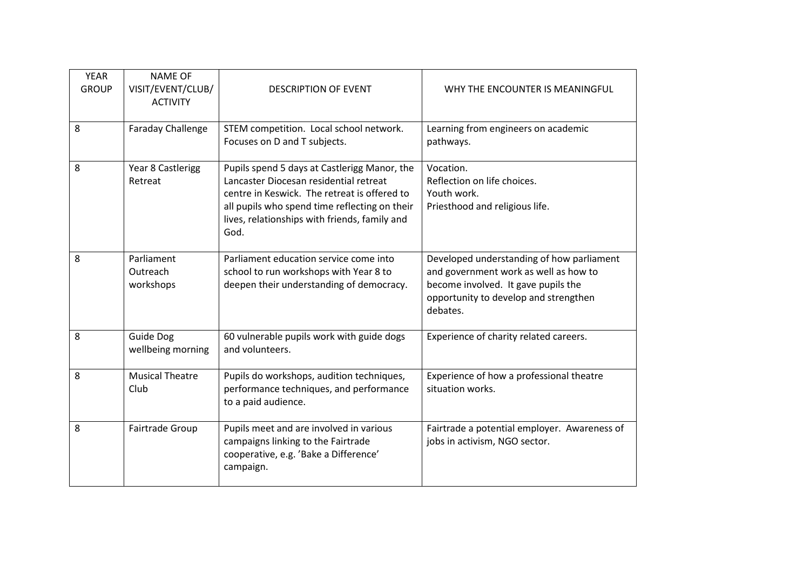| <b>YEAR</b><br><b>GROUP</b> | <b>NAME OF</b><br>VISIT/EVENT/CLUB/<br><b>ACTIVITY</b> | <b>DESCRIPTION OF EVENT</b>                                                                                                                                                                                                                      | WHY THE ENCOUNTER IS MEANINGFUL                                                                                                                                                |
|-----------------------------|--------------------------------------------------------|--------------------------------------------------------------------------------------------------------------------------------------------------------------------------------------------------------------------------------------------------|--------------------------------------------------------------------------------------------------------------------------------------------------------------------------------|
| 8                           | <b>Faraday Challenge</b>                               | STEM competition. Local school network.<br>Focuses on D and T subjects.                                                                                                                                                                          | Learning from engineers on academic<br>pathways.                                                                                                                               |
| 8                           | Year 8 Castlerigg<br>Retreat                           | Pupils spend 5 days at Castlerigg Manor, the<br>Lancaster Diocesan residential retreat<br>centre in Keswick. The retreat is offered to<br>all pupils who spend time reflecting on their<br>lives, relationships with friends, family and<br>God. | Vocation.<br>Reflection on life choices.<br>Youth work.<br>Priesthood and religious life.                                                                                      |
| 8                           | Parliament<br>Outreach<br>workshops                    | Parliament education service come into<br>school to run workshops with Year 8 to<br>deepen their understanding of democracy.                                                                                                                     | Developed understanding of how parliament<br>and government work as well as how to<br>become involved. It gave pupils the<br>opportunity to develop and strengthen<br>debates. |
| 8                           | Guide Dog<br>wellbeing morning                         | 60 vulnerable pupils work with guide dogs<br>and volunteers.                                                                                                                                                                                     | Experience of charity related careers.                                                                                                                                         |
| 8                           | <b>Musical Theatre</b><br>Club                         | Pupils do workshops, audition techniques,<br>performance techniques, and performance<br>to a paid audience.                                                                                                                                      | Experience of how a professional theatre<br>situation works.                                                                                                                   |
| 8                           | Fairtrade Group                                        | Pupils meet and are involved in various<br>campaigns linking to the Fairtrade<br>cooperative, e.g. 'Bake a Difference'<br>campaign.                                                                                                              | Fairtrade a potential employer. Awareness of<br>jobs in activism, NGO sector.                                                                                                  |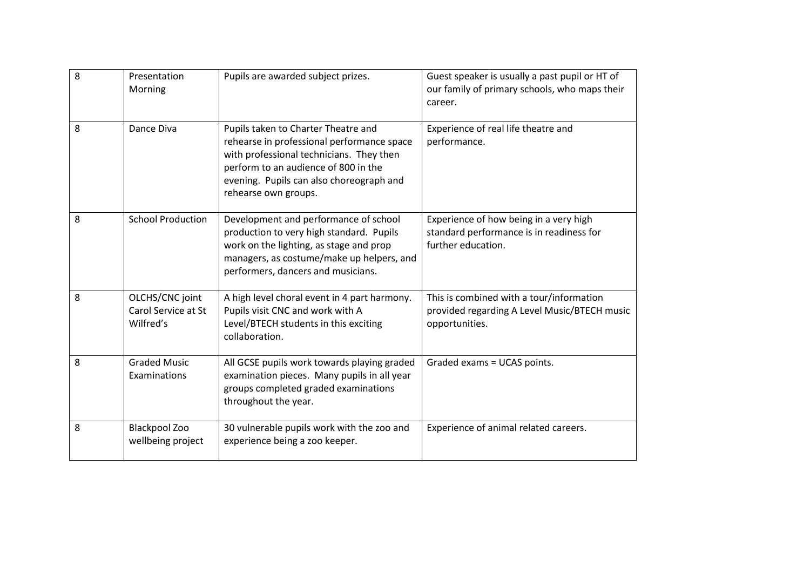| 8 | Presentation<br>Morning                             | Pupils are awarded subject prizes.                                                                                                                                                                                                        | Guest speaker is usually a past pupil or HT of<br>our family of primary schools, who maps their<br>career. |
|---|-----------------------------------------------------|-------------------------------------------------------------------------------------------------------------------------------------------------------------------------------------------------------------------------------------------|------------------------------------------------------------------------------------------------------------|
| 8 | Dance Diva                                          | Pupils taken to Charter Theatre and<br>rehearse in professional performance space<br>with professional technicians. They then<br>perform to an audience of 800 in the<br>evening. Pupils can also choreograph and<br>rehearse own groups. | Experience of real life theatre and<br>performance.                                                        |
| 8 | <b>School Production</b>                            | Development and performance of school<br>production to very high standard. Pupils<br>work on the lighting, as stage and prop<br>managers, as costume/make up helpers, and<br>performers, dancers and musicians.                           | Experience of how being in a very high<br>standard performance is in readiness for<br>further education.   |
| 8 | OLCHS/CNC joint<br>Carol Service at St<br>Wilfred's | A high level choral event in 4 part harmony.<br>Pupils visit CNC and work with A<br>Level/BTECH students in this exciting<br>collaboration.                                                                                               | This is combined with a tour/information<br>provided regarding A Level Music/BTECH music<br>opportunities. |
| 8 | <b>Graded Music</b><br>Examinations                 | All GCSE pupils work towards playing graded<br>examination pieces. Many pupils in all year<br>groups completed graded examinations<br>throughout the year.                                                                                | Graded exams = UCAS points.                                                                                |
| 8 | <b>Blackpool Zoo</b><br>wellbeing project           | 30 vulnerable pupils work with the zoo and<br>experience being a zoo keeper.                                                                                                                                                              | Experience of animal related careers.                                                                      |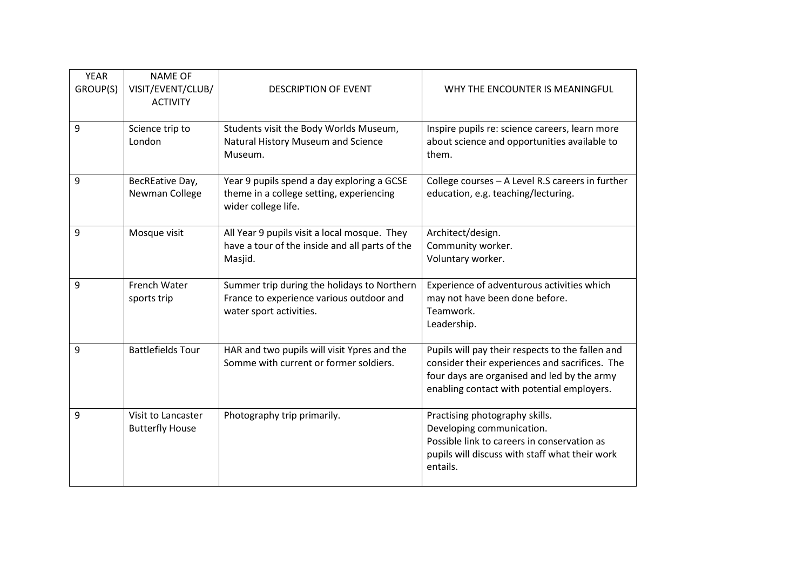| <b>YEAR</b><br>GROUP(S) | <b>NAME OF</b><br>VISIT/EVENT/CLUB/<br><b>ACTIVITY</b> | <b>DESCRIPTION OF EVENT</b>                                                                                        | WHY THE ENCOUNTER IS MEANINGFUL                                                                                                                                                                 |
|-------------------------|--------------------------------------------------------|--------------------------------------------------------------------------------------------------------------------|-------------------------------------------------------------------------------------------------------------------------------------------------------------------------------------------------|
| 9                       | Science trip to<br>London                              | Students visit the Body Worlds Museum,<br>Natural History Museum and Science<br>Museum.                            | Inspire pupils re: science careers, learn more<br>about science and opportunities available to<br>them.                                                                                         |
| 9                       | BecREative Day,<br>Newman College                      | Year 9 pupils spend a day exploring a GCSE<br>theme in a college setting, experiencing<br>wider college life.      | College courses - A Level R.S careers in further<br>education, e.g. teaching/lecturing.                                                                                                         |
| 9                       | Mosque visit                                           | All Year 9 pupils visit a local mosque. They<br>have a tour of the inside and all parts of the<br>Masjid.          | Architect/design.<br>Community worker.<br>Voluntary worker.                                                                                                                                     |
| 9                       | French Water<br>sports trip                            | Summer trip during the holidays to Northern<br>France to experience various outdoor and<br>water sport activities. | Experience of adventurous activities which<br>may not have been done before.<br>Teamwork.<br>Leadership.                                                                                        |
| 9                       | <b>Battlefields Tour</b>                               | HAR and two pupils will visit Ypres and the<br>Somme with current or former soldiers.                              | Pupils will pay their respects to the fallen and<br>consider their experiences and sacrifices. The<br>four days are organised and led by the army<br>enabling contact with potential employers. |
| 9                       | Visit to Lancaster<br><b>Butterfly House</b>           | Photography trip primarily.                                                                                        | Practising photography skills.<br>Developing communication.<br>Possible link to careers in conservation as<br>pupils will discuss with staff what their work<br>entails.                        |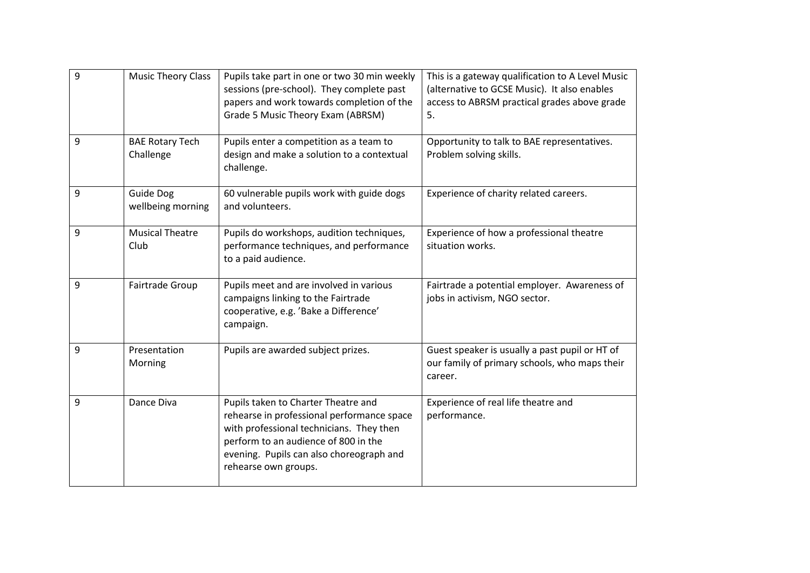| 9 | <b>Music Theory Class</b>           | Pupils take part in one or two 30 min weekly<br>sessions (pre-school). They complete past<br>papers and work towards completion of the<br>Grade 5 Music Theory Exam (ABRSM)                                                               | This is a gateway qualification to A Level Music<br>(alternative to GCSE Music). It also enables<br>access to ABRSM practical grades above grade<br>5. |
|---|-------------------------------------|-------------------------------------------------------------------------------------------------------------------------------------------------------------------------------------------------------------------------------------------|--------------------------------------------------------------------------------------------------------------------------------------------------------|
| 9 | <b>BAE Rotary Tech</b><br>Challenge | Pupils enter a competition as a team to<br>design and make a solution to a contextual<br>challenge.                                                                                                                                       | Opportunity to talk to BAE representatives.<br>Problem solving skills.                                                                                 |
| 9 | Guide Dog<br>wellbeing morning      | 60 vulnerable pupils work with guide dogs<br>and volunteers.                                                                                                                                                                              | Experience of charity related careers.                                                                                                                 |
| 9 | <b>Musical Theatre</b><br>Club      | Pupils do workshops, audition techniques,<br>performance techniques, and performance<br>to a paid audience.                                                                                                                               | Experience of how a professional theatre<br>situation works.                                                                                           |
| 9 | Fairtrade Group                     | Pupils meet and are involved in various<br>campaigns linking to the Fairtrade<br>cooperative, e.g. 'Bake a Difference'<br>campaign.                                                                                                       | Fairtrade a potential employer. Awareness of<br>jobs in activism, NGO sector.                                                                          |
| 9 | Presentation<br>Morning             | Pupils are awarded subject prizes.                                                                                                                                                                                                        | Guest speaker is usually a past pupil or HT of<br>our family of primary schools, who maps their<br>career.                                             |
| 9 | Dance Diva                          | Pupils taken to Charter Theatre and<br>rehearse in professional performance space<br>with professional technicians. They then<br>perform to an audience of 800 in the<br>evening. Pupils can also choreograph and<br>rehearse own groups. | Experience of real life theatre and<br>performance.                                                                                                    |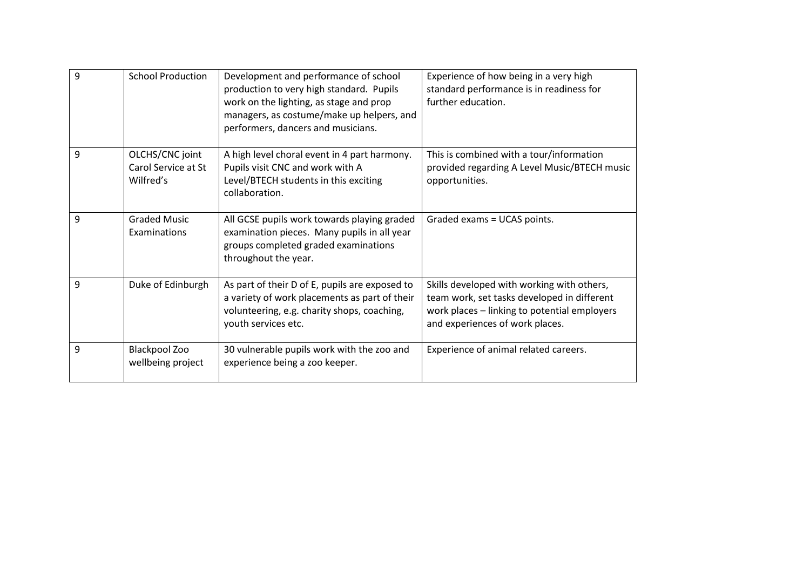| 9 | <b>School Production</b>                            | Development and performance of school<br>production to very high standard. Pupils<br>work on the lighting, as stage and prop<br>managers, as costume/make up helpers, and<br>performers, dancers and musicians. | Experience of how being in a very high<br>standard performance is in readiness for<br>further education.                                                                     |
|---|-----------------------------------------------------|-----------------------------------------------------------------------------------------------------------------------------------------------------------------------------------------------------------------|------------------------------------------------------------------------------------------------------------------------------------------------------------------------------|
| 9 | OLCHS/CNC joint<br>Carol Service at St<br>Wilfred's | A high level choral event in 4 part harmony.<br>Pupils visit CNC and work with A<br>Level/BTECH students in this exciting<br>collaboration.                                                                     | This is combined with a tour/information<br>provided regarding A Level Music/BTECH music<br>opportunities.                                                                   |
| 9 | <b>Graded Music</b><br>Examinations                 | All GCSE pupils work towards playing graded<br>examination pieces. Many pupils in all year<br>groups completed graded examinations<br>throughout the year.                                                      | Graded exams = UCAS points.                                                                                                                                                  |
| 9 | Duke of Edinburgh                                   | As part of their D of E, pupils are exposed to<br>a variety of work placements as part of their<br>volunteering, e.g. charity shops, coaching,<br>youth services etc.                                           | Skills developed with working with others,<br>team work, set tasks developed in different<br>work places - linking to potential employers<br>and experiences of work places. |
| 9 | <b>Blackpool Zoo</b><br>wellbeing project           | 30 vulnerable pupils work with the zoo and<br>experience being a zoo keeper.                                                                                                                                    | Experience of animal related careers.                                                                                                                                        |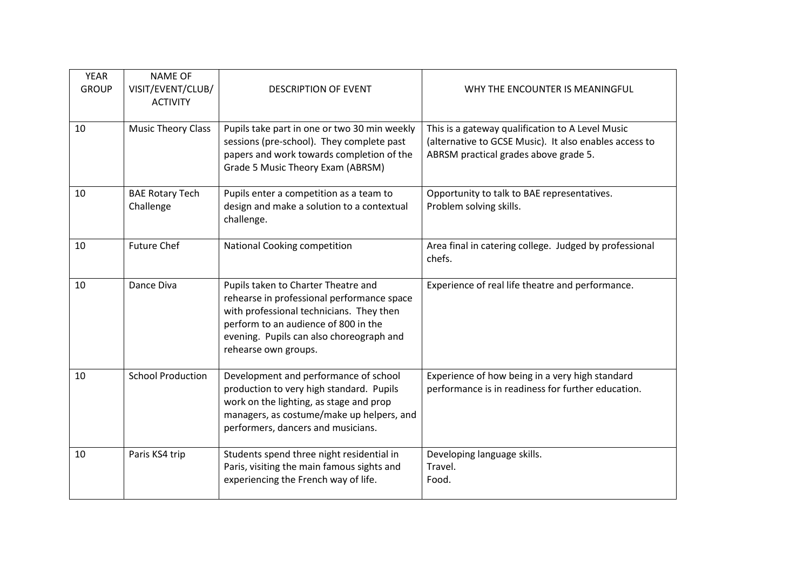| <b>YEAR</b><br><b>GROUP</b> | <b>NAME OF</b><br>VISIT/EVENT/CLUB/<br><b>ACTIVITY</b> | <b>DESCRIPTION OF EVENT</b>                                                                                                                                                                                                               | WHY THE ENCOUNTER IS MEANINGFUL                                                                                                                     |
|-----------------------------|--------------------------------------------------------|-------------------------------------------------------------------------------------------------------------------------------------------------------------------------------------------------------------------------------------------|-----------------------------------------------------------------------------------------------------------------------------------------------------|
| 10                          | <b>Music Theory Class</b>                              | Pupils take part in one or two 30 min weekly<br>sessions (pre-school). They complete past<br>papers and work towards completion of the<br>Grade 5 Music Theory Exam (ABRSM)                                                               | This is a gateway qualification to A Level Music<br>(alternative to GCSE Music). It also enables access to<br>ABRSM practical grades above grade 5. |
| 10                          | <b>BAE Rotary Tech</b><br>Challenge                    | Pupils enter a competition as a team to<br>design and make a solution to a contextual<br>challenge.                                                                                                                                       | Opportunity to talk to BAE representatives.<br>Problem solving skills.                                                                              |
| 10                          | <b>Future Chef</b>                                     | National Cooking competition                                                                                                                                                                                                              | Area final in catering college. Judged by professional<br>chefs.                                                                                    |
| 10                          | Dance Diva                                             | Pupils taken to Charter Theatre and<br>rehearse in professional performance space<br>with professional technicians. They then<br>perform to an audience of 800 in the<br>evening. Pupils can also choreograph and<br>rehearse own groups. | Experience of real life theatre and performance.                                                                                                    |
| 10                          | <b>School Production</b>                               | Development and performance of school<br>production to very high standard. Pupils<br>work on the lighting, as stage and prop<br>managers, as costume/make up helpers, and<br>performers, dancers and musicians.                           | Experience of how being in a very high standard<br>performance is in readiness for further education.                                               |
| 10                          | Paris KS4 trip                                         | Students spend three night residential in<br>Paris, visiting the main famous sights and<br>experiencing the French way of life.                                                                                                           | Developing language skills.<br>Travel.<br>Food.                                                                                                     |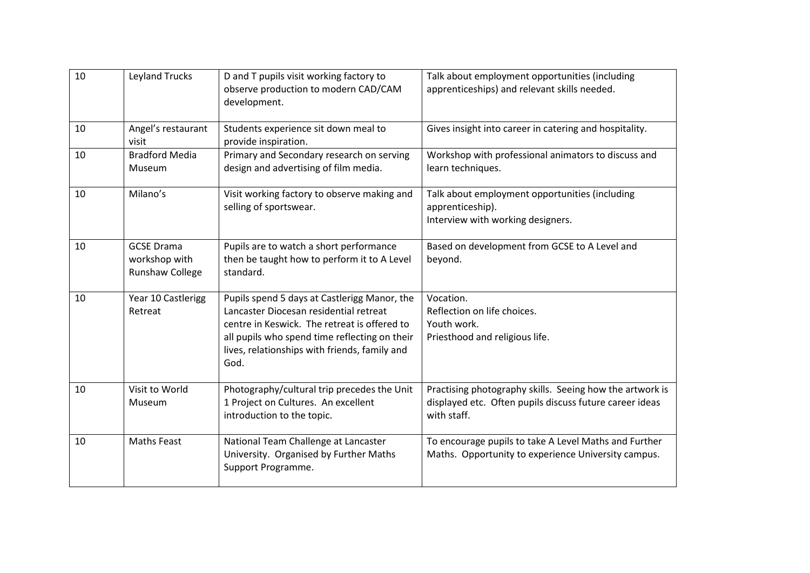| 10 | <b>Leyland Trucks</b>                                        | D and T pupils visit working factory to<br>observe production to modern CAD/CAM<br>development.                                                                                                                                                  | Talk about employment opportunities (including<br>apprenticeships) and relevant skills needed.                                     |
|----|--------------------------------------------------------------|--------------------------------------------------------------------------------------------------------------------------------------------------------------------------------------------------------------------------------------------------|------------------------------------------------------------------------------------------------------------------------------------|
| 10 | Angel's restaurant<br>visit                                  | Students experience sit down meal to<br>provide inspiration.                                                                                                                                                                                     | Gives insight into career in catering and hospitality.                                                                             |
| 10 | <b>Bradford Media</b><br>Museum                              | Primary and Secondary research on serving<br>design and advertising of film media.                                                                                                                                                               | Workshop with professional animators to discuss and<br>learn techniques.                                                           |
| 10 | Milano's                                                     | Visit working factory to observe making and<br>selling of sportswear.                                                                                                                                                                            | Talk about employment opportunities (including<br>apprenticeship).<br>Interview with working designers.                            |
| 10 | <b>GCSE Drama</b><br>workshop with<br><b>Runshaw College</b> | Pupils are to watch a short performance<br>then be taught how to perform it to A Level<br>standard.                                                                                                                                              | Based on development from GCSE to A Level and<br>beyond.                                                                           |
| 10 | Year 10 Castlerigg<br>Retreat                                | Pupils spend 5 days at Castlerigg Manor, the<br>Lancaster Diocesan residential retreat<br>centre in Keswick. The retreat is offered to<br>all pupils who spend time reflecting on their<br>lives, relationships with friends, family and<br>God. | Vocation.<br>Reflection on life choices.<br>Youth work.<br>Priesthood and religious life.                                          |
| 10 | Visit to World<br>Museum                                     | Photography/cultural trip precedes the Unit<br>1 Project on Cultures. An excellent<br>introduction to the topic.                                                                                                                                 | Practising photography skills. Seeing how the artwork is<br>displayed etc. Often pupils discuss future career ideas<br>with staff. |
| 10 | <b>Maths Feast</b>                                           | National Team Challenge at Lancaster<br>University. Organised by Further Maths<br>Support Programme.                                                                                                                                             | To encourage pupils to take A Level Maths and Further<br>Maths. Opportunity to experience University campus.                       |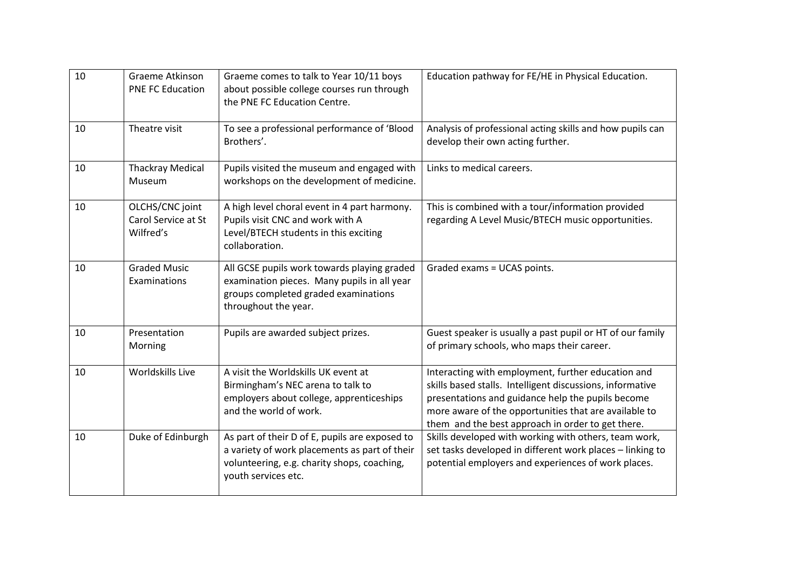| 10 | Graeme Atkinson<br><b>PNE FC Education</b>          | Graeme comes to talk to Year 10/11 boys<br>about possible college courses run through<br>the PNE FC Education Centre.                                                 | Education pathway for FE/HE in Physical Education.                                                                                                                                                                                                                                 |
|----|-----------------------------------------------------|-----------------------------------------------------------------------------------------------------------------------------------------------------------------------|------------------------------------------------------------------------------------------------------------------------------------------------------------------------------------------------------------------------------------------------------------------------------------|
| 10 | Theatre visit                                       | To see a professional performance of 'Blood<br>Brothers'.                                                                                                             | Analysis of professional acting skills and how pupils can<br>develop their own acting further.                                                                                                                                                                                     |
| 10 | <b>Thackray Medical</b><br>Museum                   | Pupils visited the museum and engaged with<br>workshops on the development of medicine.                                                                               | Links to medical careers.                                                                                                                                                                                                                                                          |
| 10 | OLCHS/CNC joint<br>Carol Service at St<br>Wilfred's | A high level choral event in 4 part harmony.<br>Pupils visit CNC and work with A<br>Level/BTECH students in this exciting<br>collaboration.                           | This is combined with a tour/information provided<br>regarding A Level Music/BTECH music opportunities.                                                                                                                                                                            |
| 10 | <b>Graded Music</b><br>Examinations                 | All GCSE pupils work towards playing graded<br>examination pieces. Many pupils in all year<br>groups completed graded examinations<br>throughout the year.            | Graded exams = UCAS points.                                                                                                                                                                                                                                                        |
| 10 | Presentation<br>Morning                             | Pupils are awarded subject prizes.                                                                                                                                    | Guest speaker is usually a past pupil or HT of our family<br>of primary schools, who maps their career.                                                                                                                                                                            |
| 10 | Worldskills Live                                    | A visit the Worldskills UK event at<br>Birmingham's NEC arena to talk to<br>employers about college, apprenticeships<br>and the world of work.                        | Interacting with employment, further education and<br>skills based stalls. Intelligent discussions, informative<br>presentations and guidance help the pupils become<br>more aware of the opportunities that are available to<br>them and the best approach in order to get there. |
| 10 | Duke of Edinburgh                                   | As part of their D of E, pupils are exposed to<br>a variety of work placements as part of their<br>volunteering, e.g. charity shops, coaching,<br>youth services etc. | Skills developed with working with others, team work,<br>set tasks developed in different work places - linking to<br>potential employers and experiences of work places.                                                                                                          |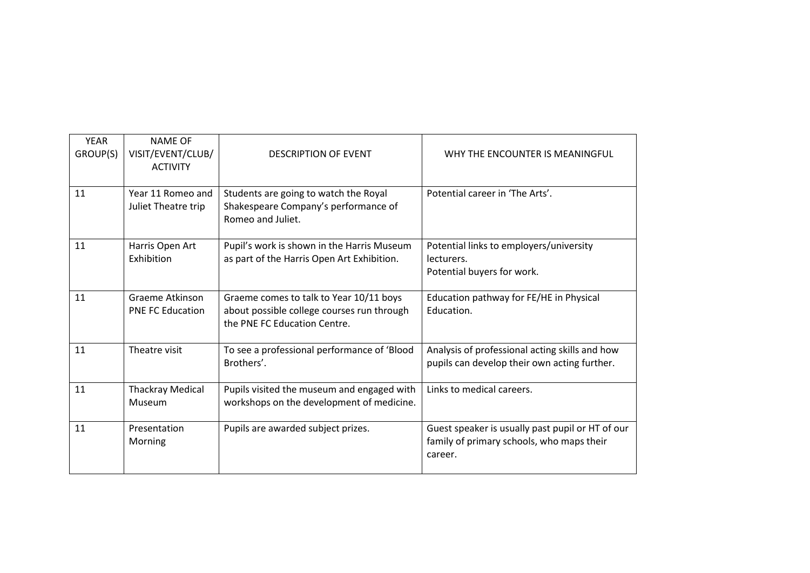| <b>YEAR</b><br>GROUP(S) | <b>NAME OF</b><br>VISIT/EVENT/CLUB/<br><b>ACTIVITY</b> | <b>DESCRIPTION OF EVENT</b>                                                                                           | WHY THE ENCOUNTER IS MEANINGFUL                                                                          |
|-------------------------|--------------------------------------------------------|-----------------------------------------------------------------------------------------------------------------------|----------------------------------------------------------------------------------------------------------|
| 11                      | Year 11 Romeo and<br>Juliet Theatre trip               | Students are going to watch the Royal<br>Shakespeare Company's performance of<br>Romeo and Juliet.                    | Potential career in 'The Arts'.                                                                          |
| 11                      | Harris Open Art<br>Exhibition                          | Pupil's work is shown in the Harris Museum<br>as part of the Harris Open Art Exhibition.                              | Potential links to employers/university<br>lecturers.<br>Potential buyers for work.                      |
| 11                      | <b>Graeme Atkinson</b><br><b>PNE FC Education</b>      | Graeme comes to talk to Year 10/11 boys<br>about possible college courses run through<br>the PNE FC Education Centre. | Education pathway for FE/HE in Physical<br>Education.                                                    |
| 11                      | Theatre visit                                          | To see a professional performance of 'Blood<br>Brothers'.                                                             | Analysis of professional acting skills and how<br>pupils can develop their own acting further.           |
| 11                      | <b>Thackray Medical</b><br>Museum                      | Pupils visited the museum and engaged with<br>workshops on the development of medicine.                               | Links to medical careers.                                                                                |
| 11                      | Presentation<br>Morning                                | Pupils are awarded subject prizes.                                                                                    | Guest speaker is usually past pupil or HT of our<br>family of primary schools, who maps their<br>career. |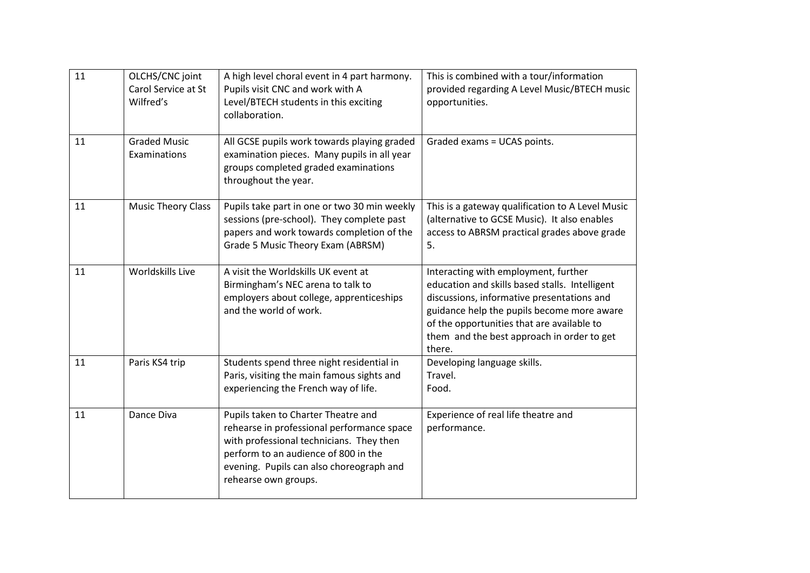| 11 | OLCHS/CNC joint<br>Carol Service at St<br>Wilfred's | A high level choral event in 4 part harmony.<br>Pupils visit CNC and work with A<br>Level/BTECH students in this exciting<br>collaboration.                                                                                               | This is combined with a tour/information<br>provided regarding A Level Music/BTECH music<br>opportunities.                                                                                                                                                                               |
|----|-----------------------------------------------------|-------------------------------------------------------------------------------------------------------------------------------------------------------------------------------------------------------------------------------------------|------------------------------------------------------------------------------------------------------------------------------------------------------------------------------------------------------------------------------------------------------------------------------------------|
| 11 | <b>Graded Music</b><br>Examinations                 | All GCSE pupils work towards playing graded<br>examination pieces. Many pupils in all year<br>groups completed graded examinations<br>throughout the year.                                                                                | Graded exams = UCAS points.                                                                                                                                                                                                                                                              |
| 11 | <b>Music Theory Class</b>                           | Pupils take part in one or two 30 min weekly<br>sessions (pre-school). They complete past<br>papers and work towards completion of the<br>Grade 5 Music Theory Exam (ABRSM)                                                               | This is a gateway qualification to A Level Music<br>(alternative to GCSE Music). It also enables<br>access to ABRSM practical grades above grade<br>5.                                                                                                                                   |
| 11 | Worldskills Live                                    | A visit the Worldskills UK event at<br>Birmingham's NEC arena to talk to<br>employers about college, apprenticeships<br>and the world of work.                                                                                            | Interacting with employment, further<br>education and skills based stalls. Intelligent<br>discussions, informative presentations and<br>guidance help the pupils become more aware<br>of the opportunities that are available to<br>them and the best approach in order to get<br>there. |
| 11 | Paris KS4 trip                                      | Students spend three night residential in<br>Paris, visiting the main famous sights and<br>experiencing the French way of life.                                                                                                           | Developing language skills.<br>Travel.<br>Food.                                                                                                                                                                                                                                          |
| 11 | Dance Diva                                          | Pupils taken to Charter Theatre and<br>rehearse in professional performance space<br>with professional technicians. They then<br>perform to an audience of 800 in the<br>evening. Pupils can also choreograph and<br>rehearse own groups. | Experience of real life theatre and<br>performance.                                                                                                                                                                                                                                      |